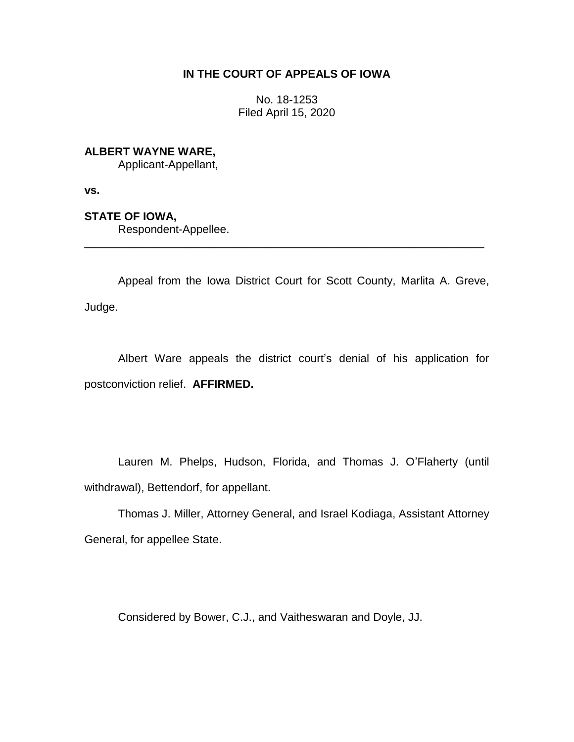## **IN THE COURT OF APPEALS OF IOWA**

No. 18-1253 Filed April 15, 2020

# **ALBERT WAYNE WARE,**

Applicant-Appellant,

**vs.**

## **STATE OF IOWA,**

Respondent-Appellee.

Appeal from the Iowa District Court for Scott County, Marlita A. Greve, Judge.

\_\_\_\_\_\_\_\_\_\_\_\_\_\_\_\_\_\_\_\_\_\_\_\_\_\_\_\_\_\_\_\_\_\_\_\_\_\_\_\_\_\_\_\_\_\_\_\_\_\_\_\_\_\_\_\_\_\_\_\_\_\_\_\_

Albert Ware appeals the district court's denial of his application for postconviction relief. **AFFIRMED.**

Lauren M. Phelps, Hudson, Florida, and Thomas J. O'Flaherty (until withdrawal), Bettendorf, for appellant.

Thomas J. Miller, Attorney General, and Israel Kodiaga, Assistant Attorney General, for appellee State.

Considered by Bower, C.J., and Vaitheswaran and Doyle, JJ.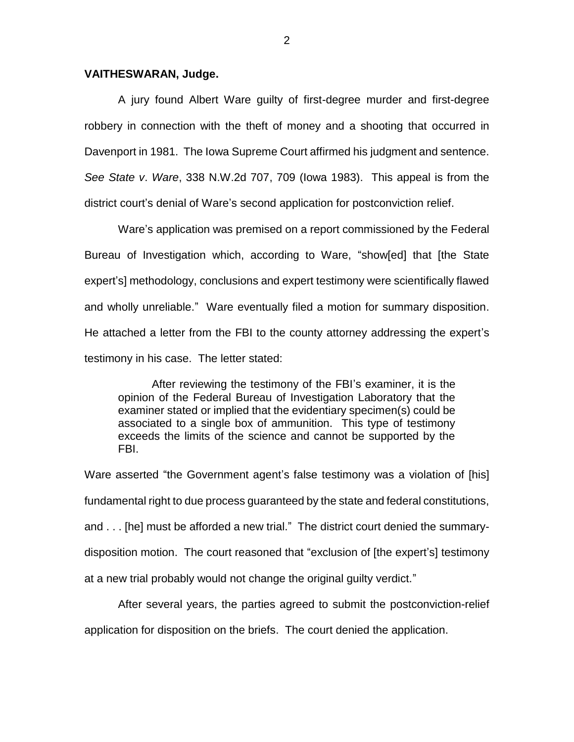#### **VAITHESWARAN, Judge.**

A jury found Albert Ware guilty of first-degree murder and first-degree robbery in connection with the theft of money and a shooting that occurred in Davenport in 1981. The Iowa Supreme Court affirmed his judgment and sentence. *See State v*. *Ware*, 338 N.W.2d 707, 709 (Iowa 1983). This appeal is from the district court's denial of Ware's second application for postconviction relief.

Ware's application was premised on a report commissioned by the Federal Bureau of Investigation which, according to Ware, "show[ed] that [the State expert's] methodology, conclusions and expert testimony were scientifically flawed and wholly unreliable." Ware eventually filed a motion for summary disposition. He attached a letter from the FBI to the county attorney addressing the expert's testimony in his case. The letter stated:

After reviewing the testimony of the FBI's examiner, it is the opinion of the Federal Bureau of Investigation Laboratory that the examiner stated or implied that the evidentiary specimen(s) could be associated to a single box of ammunition. This type of testimony exceeds the limits of the science and cannot be supported by the FBI.

Ware asserted "the Government agent's false testimony was a violation of [his] fundamental right to due process guaranteed by the state and federal constitutions, and . . . [he] must be afforded a new trial." The district court denied the summarydisposition motion. The court reasoned that "exclusion of [the expert's] testimony at a new trial probably would not change the original guilty verdict."

After several years, the parties agreed to submit the postconviction-relief application for disposition on the briefs. The court denied the application.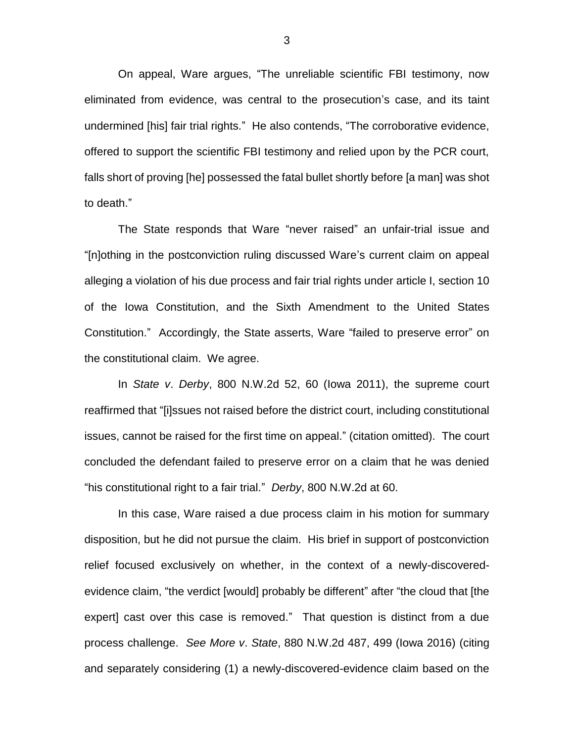On appeal, Ware argues, "The unreliable scientific FBI testimony, now eliminated from evidence, was central to the prosecution's case, and its taint undermined [his] fair trial rights." He also contends, "The corroborative evidence, offered to support the scientific FBI testimony and relied upon by the PCR court, falls short of proving [he] possessed the fatal bullet shortly before [a man] was shot to death."

The State responds that Ware "never raised" an unfair-trial issue and "[n]othing in the postconviction ruling discussed Ware's current claim on appeal alleging a violation of his due process and fair trial rights under article I, section 10 of the Iowa Constitution, and the Sixth Amendment to the United States Constitution." Accordingly, the State asserts, Ware "failed to preserve error" on the constitutional claim. We agree.

In *State v*. *Derby*, 800 N.W.2d 52, 60 (Iowa 2011), the supreme court reaffirmed that "[i]ssues not raised before the district court, including constitutional issues, cannot be raised for the first time on appeal." (citation omitted). The court concluded the defendant failed to preserve error on a claim that he was denied "his constitutional right to a fair trial." *Derby*, 800 N.W.2d at 60.

In this case, Ware raised a due process claim in his motion for summary disposition, but he did not pursue the claim. His brief in support of postconviction relief focused exclusively on whether, in the context of a newly-discoveredevidence claim, "the verdict [would] probably be different" after "the cloud that [the expert] cast over this case is removed." That question is distinct from a due process challenge. *See More v*. *State*, 880 N.W.2d 487, 499 (Iowa 2016) (citing and separately considering (1) a newly-discovered-evidence claim based on the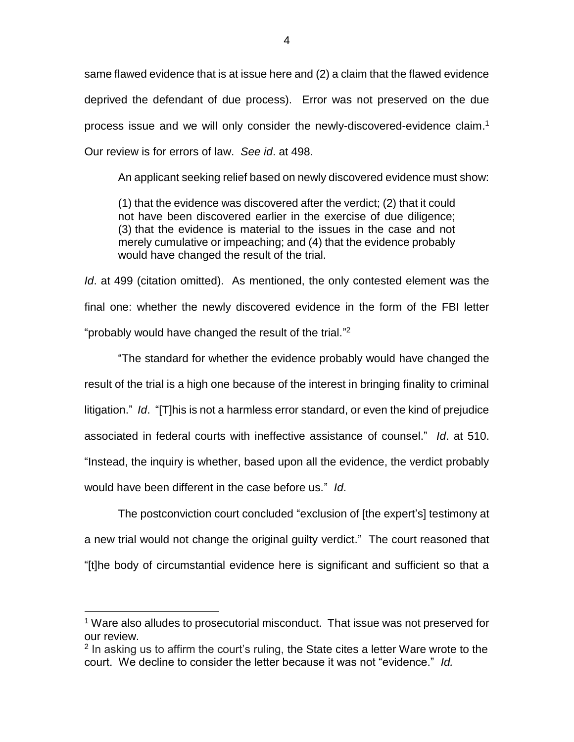same flawed evidence that is at issue here and (2) a claim that the flawed evidence deprived the defendant of due process). Error was not preserved on the due process issue and we will only consider the newly-discovered-evidence claim. 1 Our review is for errors of law. *See id*. at 498.

An applicant seeking relief based on newly discovered evidence must show:

(1) that the evidence was discovered after the verdict; (2) that it could not have been discovered earlier in the exercise of due diligence; (3) that the evidence is material to the issues in the case and not merely cumulative or impeaching; and (4) that the evidence probably would have changed the result of the trial.

*Id*. at 499 (citation omitted). As mentioned, the only contested element was the final one: whether the newly discovered evidence in the form of the FBI letter "probably would have changed the result of the trial."<sup>2</sup>

"The standard for whether the evidence probably would have changed the result of the trial is a high one because of the interest in bringing finality to criminal litigation." *Id*. "[T]his is not a harmless error standard, or even the kind of prejudice associated in federal courts with ineffective assistance of counsel." *Id*. at 510. "Instead, the inquiry is whether, based upon all the evidence, the verdict probably would have been different in the case before us." *Id*.

The postconviction court concluded "exclusion of [the expert's] testimony at a new trial would not change the original guilty verdict." The court reasoned that "[t]he body of circumstantial evidence here is significant and sufficient so that a

 $\overline{a}$ 

4

<sup>&</sup>lt;sup>1</sup> Ware also alludes to prosecutorial misconduct. That issue was not preserved for our review.

<sup>&</sup>lt;sup>2</sup> In asking us to affirm the court's ruling, the State cites a letter Ware wrote to the court. We decline to consider the letter because it was not "evidence." *Id.*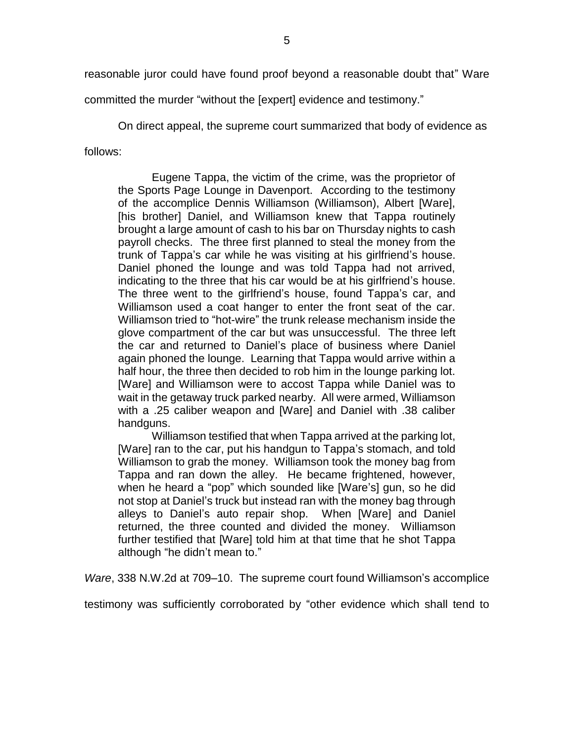reasonable juror could have found proof beyond a reasonable doubt that" Ware

committed the murder "without the [expert] evidence and testimony."

On direct appeal, the supreme court summarized that body of evidence as follows:

Eugene Tappa, the victim of the crime, was the proprietor of the Sports Page Lounge in Davenport. According to the testimony of the accomplice Dennis Williamson (Williamson), Albert [Ware], [his brother] Daniel, and Williamson knew that Tappa routinely brought a large amount of cash to his bar on Thursday nights to cash payroll checks. The three first planned to steal the money from the trunk of Tappa's car while he was visiting at his girlfriend's house. Daniel phoned the lounge and was told Tappa had not arrived, indicating to the three that his car would be at his girlfriend's house. The three went to the girlfriend's house, found Tappa's car, and Williamson used a coat hanger to enter the front seat of the car. Williamson tried to "hot-wire" the trunk release mechanism inside the glove compartment of the car but was unsuccessful. The three left the car and returned to Daniel's place of business where Daniel again phoned the lounge. Learning that Tappa would arrive within a half hour, the three then decided to rob him in the lounge parking lot. [Ware] and Williamson were to accost Tappa while Daniel was to wait in the getaway truck parked nearby. All were armed, Williamson with a .25 caliber weapon and [Ware] and Daniel with .38 caliber handguns.

Williamson testified that when Tappa arrived at the parking lot, [Ware] ran to the car, put his handgun to Tappa's stomach, and told Williamson to grab the money. Williamson took the money bag from Tappa and ran down the alley. He became frightened, however, when he heard a "pop" which sounded like [Ware's] gun, so he did not stop at Daniel's truck but instead ran with the money bag through alleys to Daniel's auto repair shop. When [Ware] and Daniel returned, the three counted and divided the money. Williamson further testified that [Ware] told him at that time that he shot Tappa although "he didn't mean to."

*Ware*, 338 N.W.2d at 709–10. The supreme court found Williamson's accomplice

testimony was sufficiently corroborated by "other evidence which shall tend to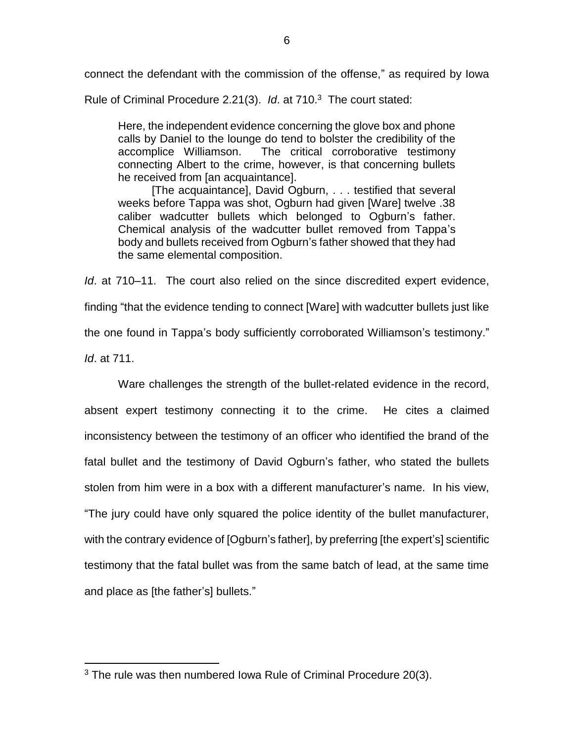connect the defendant with the commission of the offense," as required by Iowa

Rule of Criminal Procedure 2.21(3). *Id*. at 710.<sup>3</sup> The court stated:

Here, the independent evidence concerning the glove box and phone calls by Daniel to the lounge do tend to bolster the credibility of the accomplice Williamson. The critical corroborative testimony connecting Albert to the crime, however, is that concerning bullets he received from [an acquaintance].

[The acquaintance], David Ogburn, . . . testified that several weeks before Tappa was shot, Ogburn had given [Ware] twelve .38 caliber wadcutter bullets which belonged to Ogburn's father. Chemical analysis of the wadcutter bullet removed from Tappa's body and bullets received from Ogburn's father showed that they had the same elemental composition.

*Id*. at 710–11. The court also relied on the since discredited expert evidence, finding "that the evidence tending to connect [Ware] with wadcutter bullets just like

the one found in Tappa's body sufficiently corroborated Williamson's testimony."

*Id*. at 711.

 $\overline{a}$ 

Ware challenges the strength of the bullet-related evidence in the record, absent expert testimony connecting it to the crime. He cites a claimed inconsistency between the testimony of an officer who identified the brand of the fatal bullet and the testimony of David Ogburn's father, who stated the bullets stolen from him were in a box with a different manufacturer's name. In his view, "The jury could have only squared the police identity of the bullet manufacturer, with the contrary evidence of [Ogburn's father], by preferring [the expert's] scientific testimony that the fatal bullet was from the same batch of lead, at the same time and place as [the father's] bullets."

 $3$  The rule was then numbered lowa Rule of Criminal Procedure 20(3).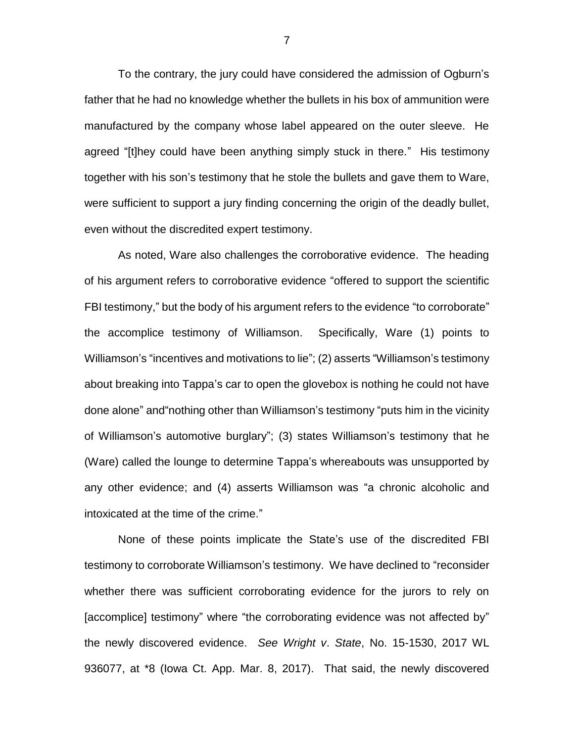To the contrary, the jury could have considered the admission of Ogburn's father that he had no knowledge whether the bullets in his box of ammunition were manufactured by the company whose label appeared on the outer sleeve. He agreed "[t]hey could have been anything simply stuck in there." His testimony together with his son's testimony that he stole the bullets and gave them to Ware, were sufficient to support a jury finding concerning the origin of the deadly bullet, even without the discredited expert testimony.

As noted, Ware also challenges the corroborative evidence. The heading of his argument refers to corroborative evidence "offered to support the scientific FBI testimony," but the body of his argument refers to the evidence "to corroborate" the accomplice testimony of Williamson. Specifically, Ware (1) points to Williamson's "incentives and motivations to lie"; (2) asserts "Williamson's testimony about breaking into Tappa's car to open the glovebox is nothing he could not have done alone" and"nothing other than Williamson's testimony "puts him in the vicinity of Williamson's automotive burglary"; (3) states Williamson's testimony that he (Ware) called the lounge to determine Tappa's whereabouts was unsupported by any other evidence; and (4) asserts Williamson was "a chronic alcoholic and intoxicated at the time of the crime."

None of these points implicate the State's use of the discredited FBI testimony to corroborate Williamson's testimony. We have declined to "reconsider whether there was sufficient corroborating evidence for the jurors to rely on [accomplice] testimony" where "the corroborating evidence was not affected by" the newly discovered evidence. *See Wright v*. *State*, No. 15-1530, 2017 WL 936077, at \*8 (Iowa Ct. App. Mar. 8, 2017). That said, the newly discovered

7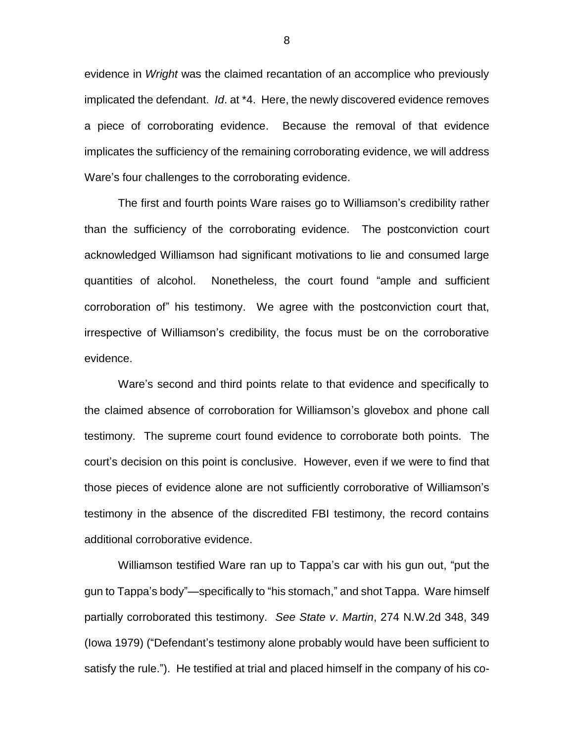evidence in *Wright* was the claimed recantation of an accomplice who previously implicated the defendant. *Id*. at \*4. Here, the newly discovered evidence removes a piece of corroborating evidence. Because the removal of that evidence implicates the sufficiency of the remaining corroborating evidence, we will address Ware's four challenges to the corroborating evidence.

The first and fourth points Ware raises go to Williamson's credibility rather than the sufficiency of the corroborating evidence. The postconviction court acknowledged Williamson had significant motivations to lie and consumed large quantities of alcohol. Nonetheless, the court found "ample and sufficient corroboration of" his testimony. We agree with the postconviction court that, irrespective of Williamson's credibility, the focus must be on the corroborative evidence.

Ware's second and third points relate to that evidence and specifically to the claimed absence of corroboration for Williamson's glovebox and phone call testimony. The supreme court found evidence to corroborate both points. The court's decision on this point is conclusive. However, even if we were to find that those pieces of evidence alone are not sufficiently corroborative of Williamson's testimony in the absence of the discredited FBI testimony, the record contains additional corroborative evidence.

Williamson testified Ware ran up to Tappa's car with his gun out, "put the gun to Tappa's body"—specifically to "his stomach," and shot Tappa. Ware himself partially corroborated this testimony. *See State v*. *Martin*, 274 N.W.2d 348, 349 (Iowa 1979) ("Defendant's testimony alone probably would have been sufficient to satisfy the rule."). He testified at trial and placed himself in the company of his co